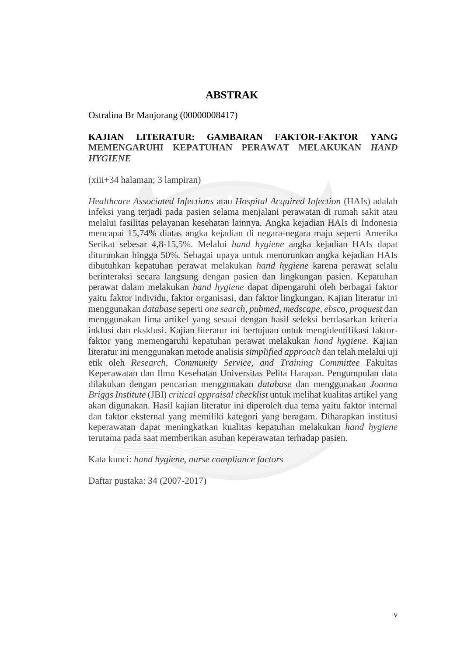## **ABSTRAK**

Ostralina Br Manjorang (00000008417)

## **KAJIAN LITERATUR: GAMBARAN FAKTOR-FAKTOR YANG MEMENGARUHI KEPATUHAN PERAWAT MELAKUKAN** *HAND HYGIENE*

(xiii+34 halaman; 3 lampiran)

*Healthcare Associated Infections* atau *Hospital Acquired Infection* (HAIs) adalah infeksi yang terjadi pada pasien selama menjalani perawatan di rumah sakit atau melalui fasilitas pelayanan kesehatan lainnya. Angka kejadian HAIs di Indonesia mencapai 15,74% diatas angka kejadian di negara-negara maju seperti Amerika Serikat sebesar 4,8-15,5%. Melalui *hand hygiene* angka kejadian HAIs dapat diturunkan hingga 50%. Sebagai upaya untuk menurunkan angka kejadian HAIs dibutuhkan kepatuhan perawat melakukan *hand hygiene* karena perawat selalu berinteraksi secara langsung dengan pasien dan lingkungan pasien*.* Kepatuhan perawat dalam melakukan *hand hygiene* dapat dipengaruhi oleh berbagai faktor yaitu faktor individu, faktor organisasi, dan faktor lingkungan. Kajian literatur ini menggunakan *database* seperti *one search, pubmed*, *medscape, ebsco, proquest* dan menggunakan lima artikel yang sesuai dengan hasil seleksi berdasarkan kriteria inklusi dan eksklusi. Kajian literatur ini bertujuan untuk mengidentifikasi faktorfaktor yang memengaruhi kepatuhan perawat melakukan *hand hygiene.* Kajian literatur ini menggunakan metode analisis *simplified approach* dan telah melalui uji etik oleh *Research, Community Service, and Training Committee* Fakultas Keperawatan dan Ilmu Kesehatan Universitas Pelita Harapan. Pengumpulan data dilakukan dengan pencarian menggunakan *database* dan menggunakan *Joanna Briggs Institute* (JBI) *critical appraisal checklist* untuk melihat kualitas artikel yang akan digunakan. Hasil kajian literatur ini diperoleh dua tema yaitu faktor internal dan faktor eksternal yang memiliki kategori yang beragam. Diharapkan institusi keperawatan dapat meningkatkan kualitas kepatuhan melakukan *hand hygiene*  terutama pada saat memberikan asuhan keperawatan terhadap pasien.

Kata kunci: *hand hygiene, nurse compliance factors*

Daftar pustaka: 34 (2007-2017)